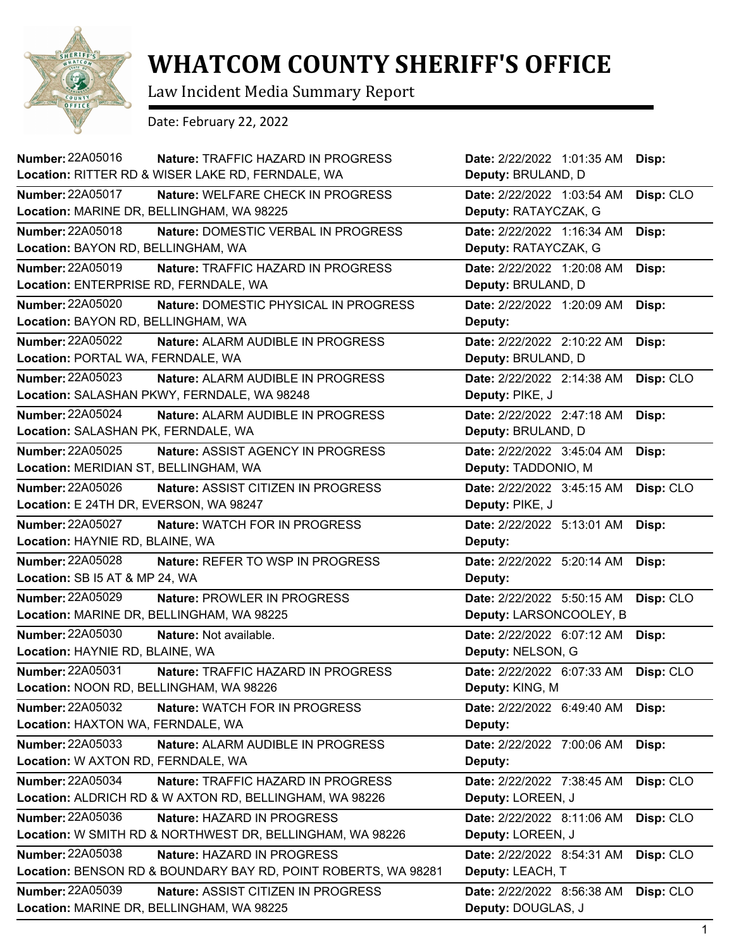

## **WHATCOM COUNTY SHERIFF'S OFFICE**

Law Incident Media Summary Report

Date: February 22, 2022

| Number: 22A05016<br>Nature: TRAFFIC HAZARD IN PROGRESS         | Date: 2/22/2022 1:01:35 AM | Disp:     |
|----------------------------------------------------------------|----------------------------|-----------|
| Location: RITTER RD & WISER LAKE RD, FERNDALE, WA              | Deputy: BRULAND, D         |           |
| <b>Number: 22A05017</b><br>Nature: WELFARE CHECK IN PROGRESS   | Date: 2/22/2022 1:03:54 AM | Disp: CLO |
| Location: MARINE DR, BELLINGHAM, WA 98225                      | Deputy: RATAYCZAK, G       |           |
| Number: 22A05018<br>Nature: DOMESTIC VERBAL IN PROGRESS        | Date: 2/22/2022 1:16:34 AM | Disp:     |
| Location: BAYON RD, BELLINGHAM, WA                             | Deputy: RATAYCZAK, G       |           |
| Number: 22A05019<br>Nature: TRAFFIC HAZARD IN PROGRESS         | Date: 2/22/2022 1:20:08 AM | Disp:     |
| Location: ENTERPRISE RD, FERNDALE, WA                          | Deputy: BRULAND, D         |           |
| Number: 22A05020<br>Nature: DOMESTIC PHYSICAL IN PROGRESS      | Date: 2/22/2022 1:20:09 AM | Disp:     |
| Location: BAYON RD, BELLINGHAM, WA                             | Deputy:                    |           |
| <b>Number: 22A05022</b><br>Nature: ALARM AUDIBLE IN PROGRESS   | Date: 2/22/2022 2:10:22 AM | Disp:     |
| Location: PORTAL WA, FERNDALE, WA                              | Deputy: BRULAND, D         |           |
| Number: 22A05023<br>Nature: ALARM AUDIBLE IN PROGRESS          | Date: 2/22/2022 2:14:38 AM | Disp: CLO |
| Location: SALASHAN PKWY, FERNDALE, WA 98248                    | Deputy: PIKE, J            |           |
| Number: 22A05024<br>Nature: ALARM AUDIBLE IN PROGRESS          | Date: 2/22/2022 2:47:18 AM | Disp:     |
| Location: SALASHAN PK, FERNDALE, WA                            | Deputy: BRULAND, D         |           |
| Number: 22A05025<br><b>Nature: ASSIST AGENCY IN PROGRESS</b>   | Date: 2/22/2022 3:45:04 AM | Disp:     |
| Location: MERIDIAN ST, BELLINGHAM, WA                          | Deputy: TADDONIO, M        |           |
| Number: 22A05026<br>Nature: ASSIST CITIZEN IN PROGRESS         | Date: 2/22/2022 3:45:15 AM | Disp: CLO |
| Location: E 24TH DR, EVERSON, WA 98247                         | Deputy: PIKE, J            |           |
| Number: 22A05027<br>Nature: WATCH FOR IN PROGRESS              | Date: 2/22/2022 5:13:01 AM | Disp:     |
| Location: HAYNIE RD, BLAINE, WA                                | Deputy:                    |           |
| <b>Number: 22A05028</b><br>Nature: REFER TO WSP IN PROGRESS    | Date: 2/22/2022 5:20:14 AM | Disp:     |
| Location: SB I5 AT & MP 24, WA                                 | Deputy:                    |           |
| <b>Number: 22A05029</b><br>Nature: PROWLER IN PROGRESS         | Date: 2/22/2022 5:50:15 AM | Disp: CLO |
| Location: MARINE DR, BELLINGHAM, WA 98225                      | Deputy: LARSONCOOLEY, B    |           |
| <b>Number: 22A05030</b><br>Nature: Not available.              | Date: 2/22/2022 6:07:12 AM | Disp:     |
| Location: HAYNIE RD, BLAINE, WA                                | Deputy: NELSON, G          |           |
| <b>Number: 22A05031</b>                                        |                            |           |
| Nature: TRAFFIC HAZARD IN PROGRESS                             | Date: 2/22/2022 6:07:33 AM | Disp: CLO |
| Location: NOON RD, BELLINGHAM, WA 98226                        | Deputy: KING, M            |           |
| <b>Number: 22A05032</b><br>Nature: WATCH FOR IN PROGRESS       | Date: 2/22/2022 6:49:40 AM | Disp:     |
| Location: HAXTON WA, FERNDALE, WA                              | Deputy:                    |           |
| Number: 22A05033<br>Nature: ALARM AUDIBLE IN PROGRESS          | Date: 2/22/2022 7:00:06 AM | Disp:     |
| Location: W AXTON RD, FERNDALE, WA                             | Deputy:                    |           |
| Number: 22A05034<br>Nature: TRAFFIC HAZARD IN PROGRESS         | Date: 2/22/2022 7:38:45 AM | Disp: CLO |
| Location: ALDRICH RD & W AXTON RD, BELLINGHAM, WA 98226        | Deputy: LOREEN, J          |           |
| Number: 22A05036<br>Nature: HAZARD IN PROGRESS                 | Date: 2/22/2022 8:11:06 AM | Disp: CLO |
| Location: W SMITH RD & NORTHWEST DR, BELLINGHAM, WA 98226      | Deputy: LOREEN, J          |           |
| Number: 22A05038<br>Nature: HAZARD IN PROGRESS                 | Date: 2/22/2022 8:54:31 AM | Disp: CLO |
| Location: BENSON RD & BOUNDARY BAY RD, POINT ROBERTS, WA 98281 | Deputy: LEACH, T           |           |
| <b>Number: 22A05039</b><br>Nature: ASSIST CITIZEN IN PROGRESS  | Date: 2/22/2022 8:56:38 AM | Disp: CLO |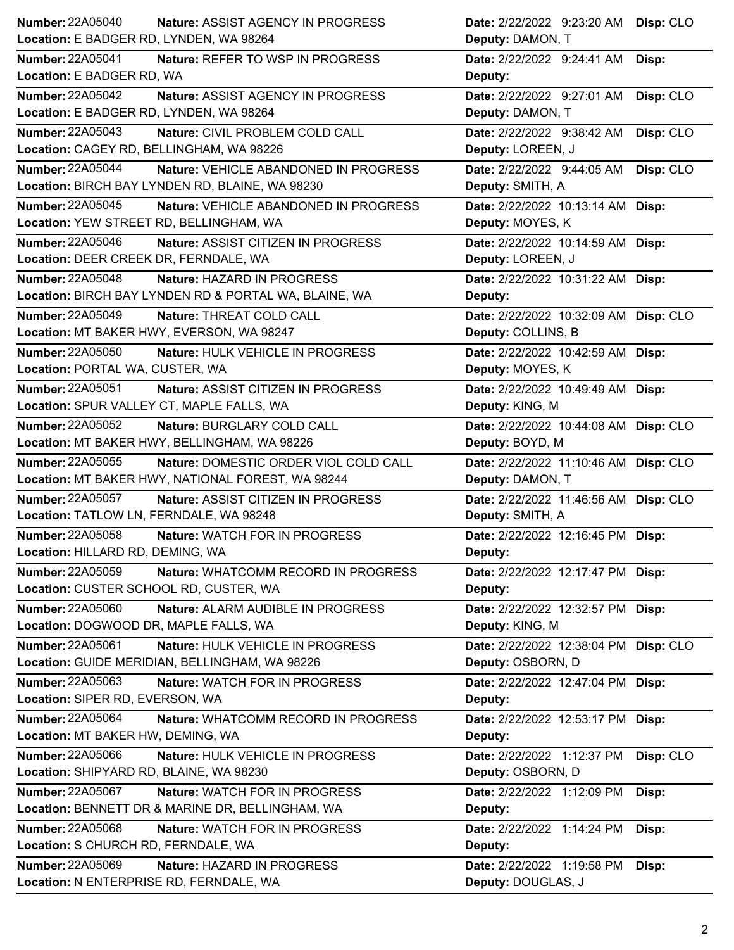| <b>Number: 22A05040</b>                               | Nature: ASSIST AGENCY IN PROGRESS         | Date: 2/22/2022 9:23:20 AM            | Disp: CLO |
|-------------------------------------------------------|-------------------------------------------|---------------------------------------|-----------|
| Location: E BADGER RD, LYNDEN, WA 98264               |                                           | Deputy: DAMON, T                      |           |
| <b>Number: 22A05041</b>                               | Nature: REFER TO WSP IN PROGRESS          | Date: 2/22/2022 9:24:41 AM            | Disp:     |
| Location: E BADGER RD, WA                             |                                           | Deputy:                               |           |
| <b>Number: 22A05042</b>                               | Nature: ASSIST AGENCY IN PROGRESS         | Date: 2/22/2022 9:27:01 AM            | Disp: CLO |
| Location: E BADGER RD, LYNDEN, WA 98264               |                                           | Deputy: DAMON, T                      |           |
| <b>Number: 22A05043</b>                               | Nature: CIVIL PROBLEM COLD CALL           | Date: 2/22/2022 9:38:42 AM            | Disp: CLO |
| Location: CAGEY RD, BELLINGHAM, WA 98226              |                                           | Deputy: LOREEN, J                     |           |
| <b>Number: 22A05044</b>                               | Nature: VEHICLE ABANDONED IN PROGRESS     | Date: 2/22/2022 9:44:05 AM            | Disp: CLO |
| Location: BIRCH BAY LYNDEN RD, BLAINE, WA 98230       |                                           | Deputy: SMITH, A                      |           |
| Number: 22A05045                                      | Nature: VEHICLE ABANDONED IN PROGRESS     | Date: 2/22/2022 10:13:14 AM Disp:     |           |
| Location: YEW STREET RD, BELLINGHAM, WA               |                                           | Deputy: MOYES, K                      |           |
| Number: 22A05046                                      | Nature: ASSIST CITIZEN IN PROGRESS        | Date: 2/22/2022 10:14:59 AM Disp:     |           |
| Location: DEER CREEK DR, FERNDALE, WA                 |                                           | Deputy: LOREEN, J                     |           |
| Number: 22A05048                                      | Nature: HAZARD IN PROGRESS                | Date: 2/22/2022 10:31:22 AM Disp:     |           |
| Location: BIRCH BAY LYNDEN RD & PORTAL WA, BLAINE, WA |                                           | Deputy:                               |           |
| <b>Number: 22A05049</b>                               | Nature: THREAT COLD CALL                  | Date: 2/22/2022 10:32:09 AM Disp: CLO |           |
| Location: MT BAKER HWY, EVERSON, WA 98247             |                                           | Deputy: COLLINS, B                    |           |
| Number: 22A05050                                      | Nature: HULK VEHICLE IN PROGRESS          | Date: 2/22/2022 10:42:59 AM Disp:     |           |
| Location: PORTAL WA, CUSTER, WA                       |                                           | Deputy: MOYES, K                      |           |
| Number: 22A05051                                      | <b>Nature: ASSIST CITIZEN IN PROGRESS</b> | Date: 2/22/2022 10:49:49 AM Disp:     |           |
| Location: SPUR VALLEY CT, MAPLE FALLS, WA             |                                           | Deputy: KING, M                       |           |
| Number: 22A05052                                      | Nature: BURGLARY COLD CALL                | Date: 2/22/2022 10:44:08 AM Disp: CLO |           |
| Location: MT BAKER HWY, BELLINGHAM, WA 98226          |                                           | Deputy: BOYD, M                       |           |
| Number: 22A05055                                      | Nature: DOMESTIC ORDER VIOL COLD CALL     | Date: 2/22/2022 11:10:46 AM Disp: CLO |           |
| Location: MT BAKER HWY, NATIONAL FOREST, WA 98244     |                                           | Deputy: DAMON, T                      |           |
| <b>Number: 22A05057</b>                               | Nature: ASSIST CITIZEN IN PROGRESS        | Date: 2/22/2022 11:46:56 AM Disp: CLO |           |
| Location: TATLOW LN, FERNDALE, WA 98248               |                                           | Deputy: SMITH, A                      |           |
| Number: 22A05058                                      | Nature: WATCH FOR IN PROGRESS             | Date: 2/22/2022 12:16:45 PM Disp:     |           |
| Location: HILLARD RD, DEMING, WA                      |                                           | <b>Deputy:</b>                        |           |
| <b>Number: 22A05059</b>                               | Nature: WHATCOMM RECORD IN PROGRESS       | Date: 2/22/2022 12:17:47 PM Disp:     |           |
| Location: CUSTER SCHOOL RD, CUSTER, WA                |                                           | Deputy:                               |           |
| <b>Number: 22A05060</b>                               | Nature: ALARM AUDIBLE IN PROGRESS         | Date: 2/22/2022 12:32:57 PM Disp:     |           |
| Location: DOGWOOD DR, MAPLE FALLS, WA                 |                                           | Deputy: KING, M                       |           |
| Number: 22A05061                                      | Nature: HULK VEHICLE IN PROGRESS          | Date: 2/22/2022 12:38:04 PM Disp: CLO |           |
| Location: GUIDE MERIDIAN, BELLINGHAM, WA 98226        |                                           | Deputy: OSBORN, D                     |           |
| Number: 22A05063                                      | Nature: WATCH FOR IN PROGRESS             | Date: 2/22/2022 12:47:04 PM Disp:     |           |
| Location: SIPER RD, EVERSON, WA                       |                                           | Deputy:                               |           |
| <b>Number: 22A05064</b>                               | Nature: WHATCOMM RECORD IN PROGRESS       | Date: 2/22/2022 12:53:17 PM Disp:     |           |
| Location: MT BAKER HW, DEMING, WA                     |                                           | Deputy:                               |           |
| Number: 22A05066                                      | Nature: HULK VEHICLE IN PROGRESS          | Date: 2/22/2022 1:12:37 PM            | Disp: CLO |
| Location: SHIPYARD RD, BLAINE, WA 98230               |                                           | Deputy: OSBORN, D                     |           |
| Number: 22A05067                                      | Nature: WATCH FOR IN PROGRESS             | Date: 2/22/2022 1:12:09 PM            | Disp:     |
| Location: BENNETT DR & MARINE DR, BELLINGHAM, WA      |                                           | Deputy:                               |           |
| <b>Number: 22A05068</b>                               | <b>Nature: WATCH FOR IN PROGRESS</b>      | Date: 2/22/2022 1:14:24 PM            | Disp:     |
| Location: S CHURCH RD, FERNDALE, WA                   |                                           | Deputy:                               |           |
| <b>Number: 22A05069</b>                               | Nature: HAZARD IN PROGRESS                | Date: 2/22/2022 1:19:58 PM            | Disp:     |
| Location: N ENTERPRISE RD, FERNDALE, WA               |                                           | Deputy: DOUGLAS, J                    |           |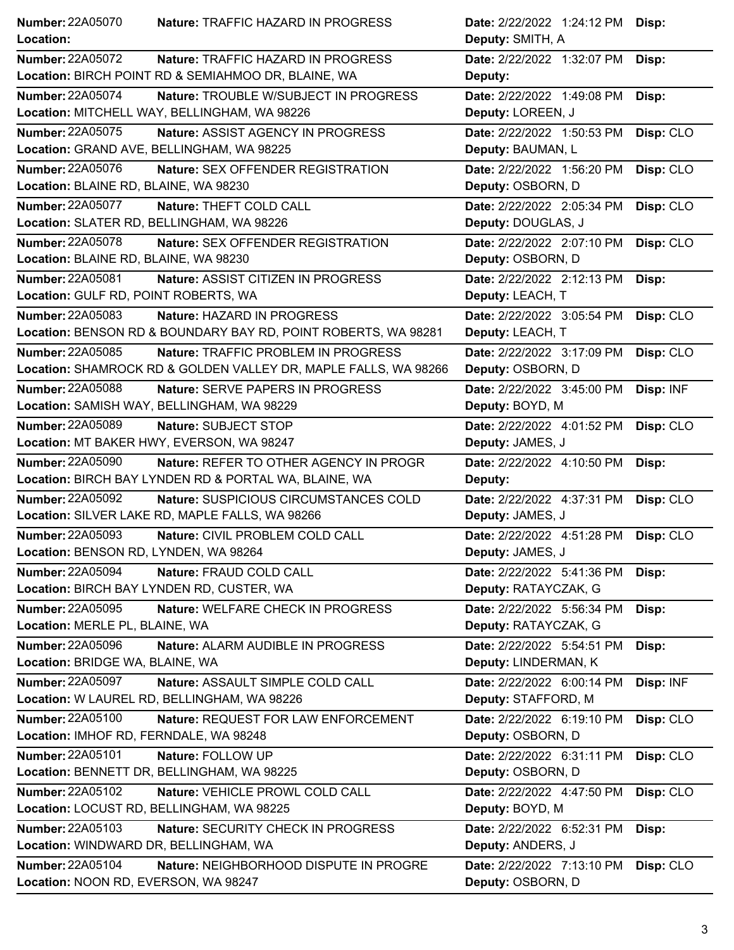| <b>Number: 22A05070</b>                   | <b>Nature: TRAFFIC HAZARD IN PROGRESS</b>                       | Date: 2/22/2022 1:24:12 PM | Disp:     |
|-------------------------------------------|-----------------------------------------------------------------|----------------------------|-----------|
| Location:                                 |                                                                 | Deputy: SMITH, A           |           |
| <b>Number: 22A05072</b>                   | Nature: TRAFFIC HAZARD IN PROGRESS                              | Date: 2/22/2022 1:32:07 PM | Disp:     |
|                                           | Location: BIRCH POINT RD & SEMIAHMOO DR, BLAINE, WA             | Deputy:                    |           |
| <b>Number: 22A05074</b>                   | Nature: TROUBLE W/SUBJECT IN PROGRESS                           | Date: 2/22/2022 1:49:08 PM | Disp:     |
|                                           | Location: MITCHELL WAY, BELLINGHAM, WA 98226                    | Deputy: LOREEN, J          |           |
| <b>Number: 22A05075</b>                   | Nature: ASSIST AGENCY IN PROGRESS                               | Date: 2/22/2022 1:50:53 PM | Disp: CLO |
| Location: GRAND AVE, BELLINGHAM, WA 98225 |                                                                 | Deputy: BAUMAN, L          |           |
| Number: 22A05076                          | Nature: SEX OFFENDER REGISTRATION                               | Date: 2/22/2022 1:56:20 PM | Disp: CLO |
| Location: BLAINE RD, BLAINE, WA 98230     |                                                                 | Deputy: OSBORN, D          |           |
| Number: 22A05077                          | Nature: THEFT COLD CALL                                         | Date: 2/22/2022 2:05:34 PM | Disp: CLO |
| Location: SLATER RD, BELLINGHAM, WA 98226 |                                                                 | Deputy: DOUGLAS, J         |           |
| <b>Number: 22A05078</b>                   | Nature: SEX OFFENDER REGISTRATION                               | Date: 2/22/2022 2:07:10 PM | Disp: CLO |
| Location: BLAINE RD, BLAINE, WA 98230     |                                                                 | Deputy: OSBORN, D          |           |
| <b>Number: 22A05081</b>                   | Nature: ASSIST CITIZEN IN PROGRESS                              | Date: 2/22/2022 2:12:13 PM | Disp:     |
| Location: GULF RD, POINT ROBERTS, WA      |                                                                 | Deputy: LEACH, T           |           |
| Number: 22A05083                          | Nature: HAZARD IN PROGRESS                                      | Date: 2/22/2022 3:05:54 PM | Disp: CLO |
|                                           | Location: BENSON RD & BOUNDARY BAY RD, POINT ROBERTS, WA 98281  | Deputy: LEACH, T           |           |
| Number: 22A05085                          | Nature: TRAFFIC PROBLEM IN PROGRESS                             | Date: 2/22/2022 3:17:09 PM | Disp: CLO |
|                                           | Location: SHAMROCK RD & GOLDEN VALLEY DR, MAPLE FALLS, WA 98266 | Deputy: OSBORN, D          |           |
| <b>Number: 22A05088</b>                   | <b>Nature: SERVE PAPERS IN PROGRESS</b>                         | Date: 2/22/2022 3:45:00 PM | Disp: INF |
|                                           | Location: SAMISH WAY, BELLINGHAM, WA 98229                      | Deputy: BOYD, M            |           |
| Number: 22A05089                          | Nature: SUBJECT STOP                                            | Date: 2/22/2022 4:01:52 PM | Disp: CLO |
|                                           | Location: MT BAKER HWY, EVERSON, WA 98247                       | Deputy: JAMES, J           |           |
| <b>Number: 22A05090</b>                   | Nature: REFER TO OTHER AGENCY IN PROGR                          | Date: 2/22/2022 4:10:50 PM | Disp:     |
|                                           | Location: BIRCH BAY LYNDEN RD & PORTAL WA, BLAINE, WA           | Deputy:                    |           |
| <b>Number: 22A05092</b>                   | Nature: SUSPICIOUS CIRCUMSTANCES COLD                           | Date: 2/22/2022 4:37:31 PM | Disp: CLO |
|                                           | Location: SILVER LAKE RD, MAPLE FALLS, WA 98266                 | Deputy: JAMES, J           |           |
| <b>Number: 22A05093</b>                   | Nature: CIVIL PROBLEM COLD CALL                                 | Date: 2/22/2022 4:51:28 PM | Disp: CLO |
| Location: BENSON RD, LYNDEN, WA 98264     |                                                                 | Deputy: JAMES, J           |           |
| <b>Number: 22A05094</b>                   | Nature: FRAUD COLD CALL                                         | Date: 2/22/2022 5:41:36 PM | Disp:     |
|                                           | Location: BIRCH BAY LYNDEN RD, CUSTER, WA                       | Deputy: RATAYCZAK, G       |           |
| Number: 22A05095                          | Nature: WELFARE CHECK IN PROGRESS                               | Date: 2/22/2022 5:56:34 PM | Disp:     |
| Location: MERLE PL, BLAINE, WA            |                                                                 | Deputy: RATAYCZAK, G       |           |
| <b>Number: 22A05096</b>                   | Nature: ALARM AUDIBLE IN PROGRESS                               | Date: 2/22/2022 5:54:51 PM | Disp:     |
| Location: BRIDGE WA, BLAINE, WA           |                                                                 | Deputy: LINDERMAN, K       |           |
| <b>Number: 22A05097</b>                   | Nature: ASSAULT SIMPLE COLD CALL                                | Date: 2/22/2022 6:00:14 PM | Disp: INF |
|                                           | Location: W LAUREL RD, BELLINGHAM, WA 98226                     | Deputy: STAFFORD, M        |           |
| <b>Number: 22A05100</b>                   | Nature: REQUEST FOR LAW ENFORCEMENT                             | Date: 2/22/2022 6:19:10 PM | Disp: CLO |
| Location: IMHOF RD, FERNDALE, WA 98248    |                                                                 | Deputy: OSBORN, D          |           |
| <b>Number: 22A05101</b>                   | Nature: FOLLOW UP                                               | Date: 2/22/2022 6:31:11 PM | Disp: CLO |
|                                           | Location: BENNETT DR, BELLINGHAM, WA 98225                      | Deputy: OSBORN, D          |           |
| Number: 22A05102                          | Nature: VEHICLE PROWL COLD CALL                                 | Date: 2/22/2022 4:47:50 PM | Disp: CLO |
| Location: LOCUST RD, BELLINGHAM, WA 98225 |                                                                 | Deputy: BOYD, M            |           |
| <b>Number: 22A05103</b>                   | Nature: SECURITY CHECK IN PROGRESS                              | Date: 2/22/2022 6:52:31 PM | Disp:     |
| Location: WINDWARD DR, BELLINGHAM, WA     |                                                                 | Deputy: ANDERS, J          |           |
| <b>Number: 22A05104</b>                   | Nature: NEIGHBORHOOD DISPUTE IN PROGRE                          | Date: 2/22/2022 7:13:10 PM | Disp: CLO |
| Location: NOON RD, EVERSON, WA 98247      |                                                                 | Deputy: OSBORN, D          |           |